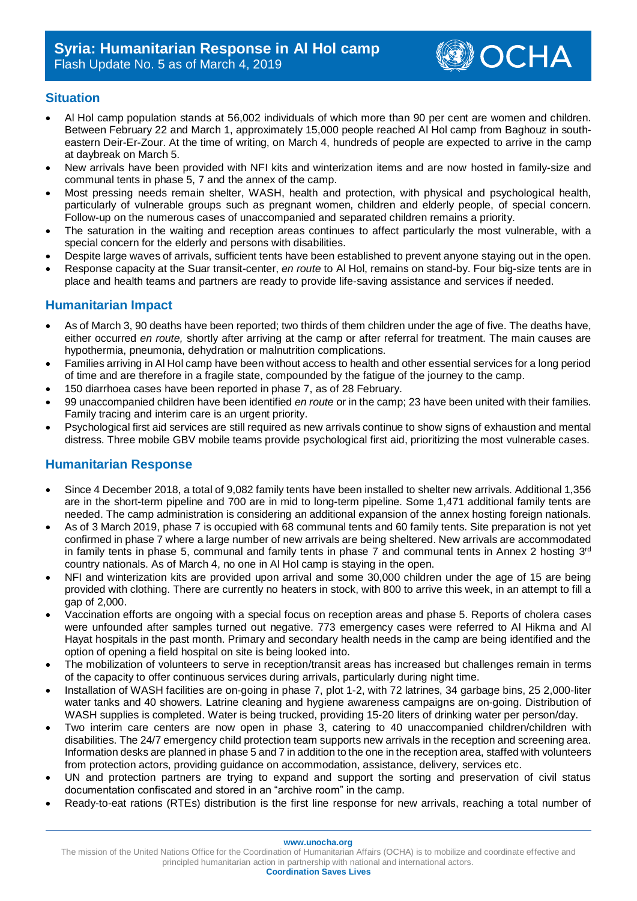

## **Situation**

- Al Hol camp population stands at 56,002 individuals of which more than 90 per cent are women and children. Between February 22 and March 1, approximately 15,000 people reached Al Hol camp from Baghouz in southeastern Deir-Er-Zour. At the time of writing, on March 4, hundreds of people are expected to arrive in the camp at daybreak on March 5.
- New arrivals have been provided with NFI kits and winterization items and are now hosted in family-size and communal tents in phase 5, 7 and the annex of the camp.
- Most pressing needs remain shelter, WASH, health and protection, with physical and psychological health, particularly of vulnerable groups such as pregnant women, children and elderly people, of special concern. Follow-up on the numerous cases of unaccompanied and separated children remains a priority.
- The saturation in the waiting and reception areas continues to affect particularly the most vulnerable, with a special concern for the elderly and persons with disabilities.
- Despite large waves of arrivals, sufficient tents have been established to prevent anyone staying out in the open.
- Response capacity at the Suar transit-center, *en route* to Al Hol, remains on stand-by. Four big-size tents are in place and health teams and partners are ready to provide life-saving assistance and services if needed.

## **Humanitarian Impact**

- As of March 3, 90 deaths have been reported; two thirds of them children under the age of five. The deaths have, either occurred *en route,* shortly after arriving at the camp or after referral for treatment. The main causes are hypothermia, pneumonia, dehydration or malnutrition complications.
- Families arriving in Al Hol camp have been without access to health and other essential services for a long period of time and are therefore in a fragile state, compounded by the fatigue of the journey to the camp.
- 150 diarrhoea cases have been reported in phase 7, as of 28 February.
- 99 unaccompanied children have been identified *en route* or in the camp; 23 have been united with their families. Family tracing and interim care is an urgent priority.
- Psychological first aid services are still required as new arrivals continue to show signs of exhaustion and mental distress. Three mobile GBV mobile teams provide psychological first aid, prioritizing the most vulnerable cases.

## **Humanitarian Response**

- Since 4 December 2018, a total of 9,082 family tents have been installed to shelter new arrivals. Additional 1,356 are in the short-term pipeline and 700 are in mid to long-term pipeline. Some 1,471 additional family tents are needed. The camp administration is considering an additional expansion of the annex hosting foreign nationals.
- As of 3 March 2019, phase 7 is occupied with 68 communal tents and 60 family tents. Site preparation is not yet confirmed in phase 7 where a large number of new arrivals are being sheltered. New arrivals are accommodated in family tents in phase 5, communal and family tents in phase 7 and communal tents in Annex 2 hosting 3<sup>rd</sup> country nationals. As of March 4, no one in Al Hol camp is staying in the open.
- NFI and winterization kits are provided upon arrival and some 30,000 children under the age of 15 are being provided with clothing. There are currently no heaters in stock, with 800 to arrive this week, in an attempt to fill a gap of 2,000.
- Vaccination efforts are ongoing with a special focus on reception areas and phase 5. Reports of cholera cases were unfounded after samples turned out negative. 773 emergency cases were referred to Al Hikma and Al Hayat hospitals in the past month. Primary and secondary health needs in the camp are being identified and the option of opening a field hospital on site is being looked into.
- The mobilization of volunteers to serve in reception/transit areas has increased but challenges remain in terms of the capacity to offer continuous services during arrivals, particularly during night time.
- Installation of WASH facilities are on-going in phase 7, plot 1-2, with 72 latrines, 34 garbage bins, 25 2,000-liter water tanks and 40 showers. Latrine cleaning and hygiene awareness campaigns are on-going. Distribution of WASH supplies is completed. Water is being trucked, providing 15-20 liters of drinking water per person/day.
- Two interim care centers are now open in phase 3, catering to 40 unaccompanied children/children with disabilities. The 24/7 emergency child protection team supports new arrivals in the reception and screening area. Information desks are planned in phase 5 and 7 in addition to the one in the reception area, staffed with volunteers from protection actors, providing guidance on accommodation, assistance, delivery, services etc.
- UN and protection partners are trying to expand and support the sorting and preservation of civil status documentation confiscated and stored in an "archive room" in the camp.
- Ready-to-eat rations (RTEs) distribution is the first line response for new arrivals, reaching a total number of

**www.unocha.org**